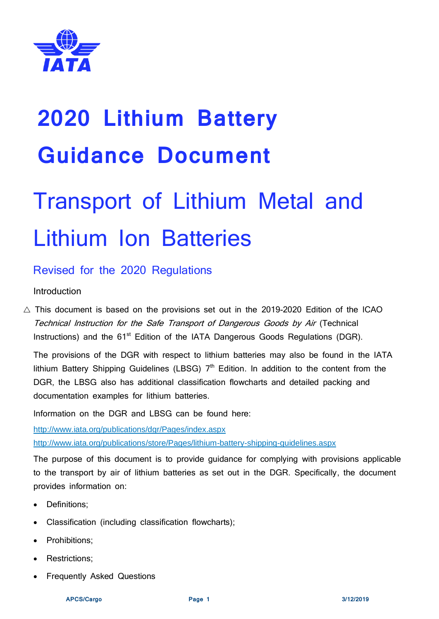

# Transport of Lithium Metal and Lithium Ion Batteries

# Revised for the 2020 Regulations

# Introduction

 $\triangle$  This document is based on the provisions set out in the 2019-2020 Edition of the ICAO Technical Instruction for the Safe Transport of Dangerous Goods by Air (Technical Instructions) and the 61<sup>st</sup> Edition of the IATA Dangerous Goods Regulations (DGR).

The provisions of the DGR with respect to lithium batteries may also be found in the IATA lithium Battery Shipping Guidelines (LBSG)  $7<sup>th</sup>$  Edition. In addition to the content from the DGR, the LBSG also has additional classification flowcharts and detailed packing and documentation examples for lithium batteries.

Information on the DGR and LBSG can be found here:

<http://www.iata.org/publications/dgr/Pages/index.aspx>

<http://www.iata.org/publications/store/Pages/lithium-battery-shipping-guidelines.aspx>

The purpose of this document is to provide guidance for complying with provisions applicable to the transport by air of lithium batteries as set out in the DGR. Specifically, the document provides information on:

- Definitions;
- Classification (including classification flowcharts);
- Prohibitions:
- Restrictions;
- Frequently Asked Questions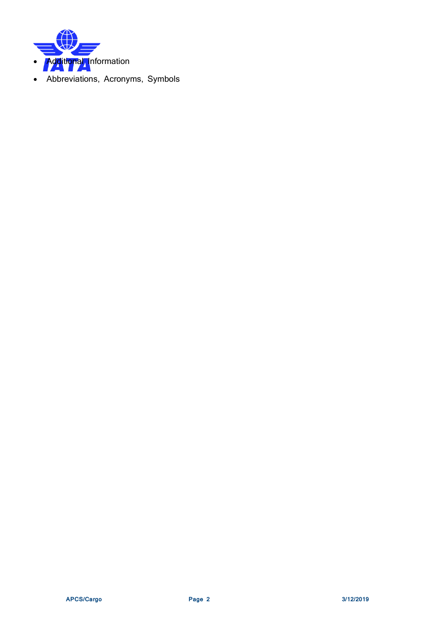

• Abbreviations, Acronyms, Symbols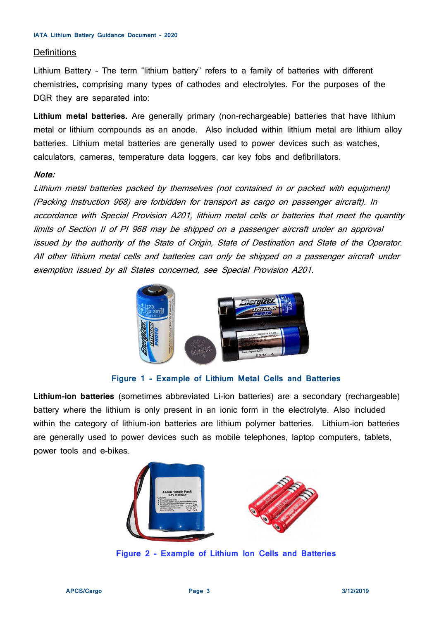#### **Definitions**

Lithium Battery – The term "lithium battery" refers to a family of batteries with different chemistries, comprising many types of cathodes and electrolytes. For the purposes of the DGR they are separated into:

**Lithium metal batteries.** Are generally primary (non-rechargeable) batteries that have lithium metal or lithium compounds as an anode. Also included within lithium metal are lithium alloy batteries. Lithium metal batteries are generally used to power devices such as watches, calculators, cameras, temperature data loggers, car key fobs and defibrillators.

# **Note:**

Lithium metal batteries packed by themselves (not contained in or packed with equipment) (Packing Instruction 968) are forbidden for transport as cargo on passenger aircraft). In accordance with Special Provision A201, lithium metal cells or batteries that meet the quantity limits of Section II of PI 968 may be shipped on a passenger aircraft under an approval issued by the authority of the State of Origin, State of Destination and State of the Operator. All other lithium metal cells and batteries can only be shipped on a passenger aircraft under exemption issued by all States concerned, see Special Provision A201.



## **Figure 1 - Example of Lithium Metal Cells and Batteries**

**Lithium-ion batteries** (sometimes abbreviated Li-ion batteries) are a secondary (rechargeable) battery where the lithium is only present in an ionic form in the electrolyte. Also included within the category of lithium-ion batteries are lithium polymer batteries. Lithium-ion batteries are generally used to power devices such as mobile telephones, laptop computers, tablets, power tools and e-bikes.



**Figure 2 - Example of Lithium Ion Cells and Batteries**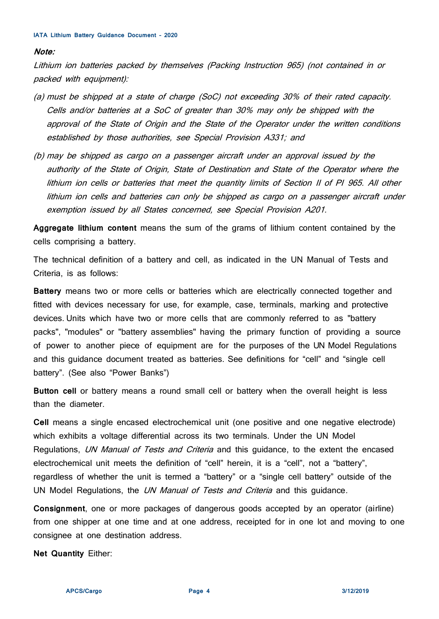#### **Note:**

Lithium ion batteries packed by themselves (Packing Instruction 965) (not contained in or packed with equipment):

- (a) must be shipped at a state of charge (SoC) not exceeding 30% of their rated capacity. Cells and/or batteries at a SoC of greater than 30% may only be shipped with the approval of the State of Origin and the State of the Operator under the written conditions established by those authorities, see Special Provision A331; and
- (b) may be shipped as cargo on a passenger aircraft under an approval issued by the authority of the State of Origin, State of Destination and State of the Operator where the lithium ion cells or batteries that meet the quantity limits of Section II of PI 965. All other lithium ion cells and batteries can only be shipped as cargo on a passenger aircraft under exemption issued by all States concerned, see Special Provision A201.

**Aggregate lithium content** means the sum of the grams of lithium content contained by the cells comprising a battery.

The technical definition of a battery and cell, as indicated in the UN Manual of Tests and Criteria, is as follows:

**Battery** means two or more cells or batteries which are electrically connected together and fitted with devices necessary for use, for example, case, terminals, marking and protective devices. Units which have two or more cells that are commonly referred to as "battery packs", "modules" or "battery assemblies" having the primary function of providing a source of power to another piece of equipment are for the purposes of the UN Model Regulations and this guidance document treated as batteries. See definitions for "cell" and "single cell battery". (See also "Power Banks")

**Button cell** or battery means a round small cell or battery when the overall height is less than the diameter.

**Cell** means a single encased electrochemical unit (one positive and one negative electrode) which exhibits a voltage differential across its two terminals. Under the UN Model Regulations, UN Manual of Tests and Criteria and this guidance, to the extent the encased electrochemical unit meets the definition of "cell" herein, it is a "cell", not a "battery", regardless of whether the unit is termed a "battery" or a "single cell battery" outside of the UN Model Regulations, the *UN Manual of Tests and Criteria* and this guidance.

**Consignment**, one or more packages of dangerous goods accepted by an operator (airline) from one shipper at one time and at one address, receipted for in one lot and moving to one consignee at one destination address.

**Net Quantity** Either: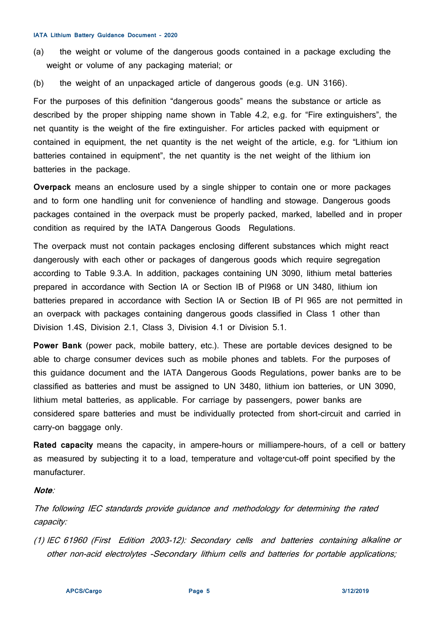- (a) the weight or volume of the dangerous goods contained in a package excluding the weight or volume of any packaging material; or
- (b) the weight of an unpackaged article of dangerous goods (e.g. UN 3166).

For the purposes of this definition "dangerous goods" means the substance or article as described by the proper shipping name shown in Table 4.2, e.g. for "Fire extinguishers", the net quantity is the weight of the fire extinguisher. For articles packed with equipment or contained in equipment, the net quantity is the net weight of the article, e.g. for "Lithium ion batteries contained in equipment", the net quantity is the net weight of the lithium ion batteries in the package.

**Overpack** means an enclosure used by a single shipper to contain one or more packages and to form one handling unit for convenience of handling and stowage. Dangerous goods packages contained in the overpack must be properly packed, marked, labelled and in proper condition as required by the IATA Dangerous Goods Regulations.

The overpack must not contain packages enclosing different substances which might react dangerously with each other or packages of dangerous goods which require segregation according to Table 9.3.A. In addition, packages containing UN 3090, lithium metal batteries prepared in accordance with Section IA or Section IB of PI968 or UN 3480, lithium ion batteries prepared in accordance with Section IA or Section IB of PI 965 are not permitted in an overpack with packages containing dangerous goods classified in Class 1 other than Division 1.4S, Division 2.1, Class 3, Division 4.1 or Division 5.1.

**Power Bank** (power pack, mobile battery, etc.). These are portable devices designed to be able to charge consumer devices such as mobile phones and tablets. For the purposes of this guidance document and the IATA Dangerous Goods Regulations, power banks are to be classified as batteries and must be assigned to UN 3480, lithium ion batteries, or UN 3090, lithium metal batteries, as applicable. For carriage by passengers, power banks are considered spare batteries and must be individually protected from short-circuit and carried in carry-on baggage only.

**Rated capacity** means the capacity, in ampere-hours or milliampere-hours, of a cell or battery as measured by subjecting it to a load, temperature and voltage·cut-off point specified by the manufacturer.

## **Note**:

The following IEC standards provide guidance and methodology for determining the rated capacity:

(1) IEC 61960 (First Edition 2003-12): Secondary cells and batteries containing alkaline or other non-acid electrolytes -Secondary lithium cells and batteries for portable applications;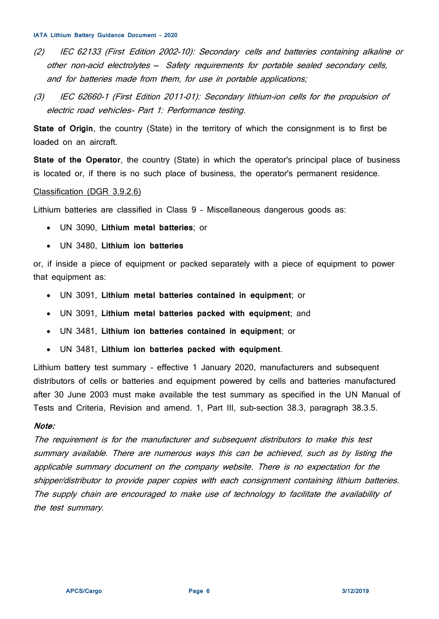- (2) IEC 62133 (First Edition 2002-10): Secondary cells and batteries containing alkaline or other non-acid electrolytes - Safety requirements for portable sealed secondary cells, and for batteries made from them, for use in portable applications;
- (3) IEC 62660-1 (First Edition 2011-01): Secondary lithium-ion cells for the propulsion of electric road vehicles- Part 1: Performance testing.

**State of Origin**, the country (State) in the territory of which the consignment is to first be loaded on an aircraft.

**State of the Operator**, the country (State) in which the operator's principal place of business is located or, if there is no such place of business, the operator's permanent residence.

## Classification (DGR 3.9.2.6)

Lithium batteries are classified in Class 9 – Miscellaneous dangerous goods as:

- UN 3090, **Lithium metal batteries**; or
- UN 3480, **Lithium ion batteries**

or, if inside a piece of equipment or packed separately with a piece of equipment to power that equipment as:

- UN 3091, **Lithium metal batteries contained in equipment**; or
- UN 3091, **Lithium metal batteries packed with equipment**; and
- UN 3481, **Lithium ion batteries contained in equipment**; or
- UN 3481, **Lithium ion batteries packed with equipment**.

Lithium battery test summary – effective 1 January 2020, manufacturers and subsequent distributors of cells or batteries and equipment powered by cells and batteries manufactured after 30 June 2003 must make available the test summary as specified in the UN Manual of Tests and Criteria, Revision and amend. 1, Part III, sub-section 38.3, paragraph 38.3.5.

## **Note:**

The requirement is for the manufacturer and subsequent distributors to make this test summary available. There are numerous ways this can be achieved, such as by listing the applicable summary document on the company website. There is no expectation for the shipper/distributor to provide paper copies with each consignment containing lithium batteries. The supply chain are encouraged to make use of technology to facilitate the availability of the test summary.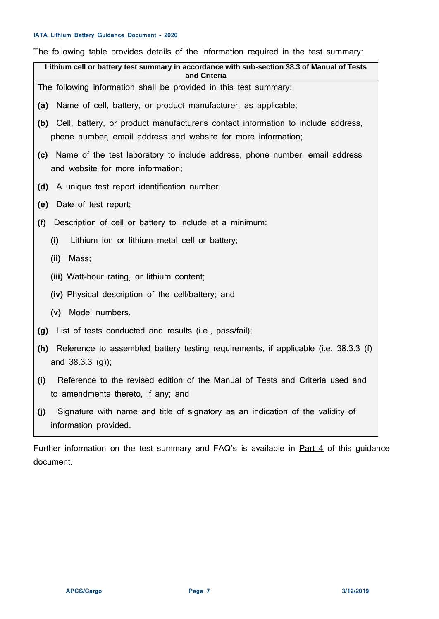The following table provides details of the information required in the test summary:

| <b>NOTIONALLY CONTRACT DESCRIPTION INTO ANOTHERIO IN THE COLOR CONTRACT DESCRIPTION</b><br>Lithium cell or battery test summary in accordance with sub-section 38.3 of Manual of Tests |
|----------------------------------------------------------------------------------------------------------------------------------------------------------------------------------------|
| and Criteria                                                                                                                                                                           |
| The following information shall be provided in this test summary:                                                                                                                      |
| Name of cell, battery, or product manufacturer, as applicable;<br>(a)                                                                                                                  |
| (b) Cell, battery, or product manufacturer's contact information to include address,<br>phone number, email address and website for more information;                                  |
| (c) Name of the test laboratory to include address, phone number, email address<br>and website for more information;                                                                   |
| A unique test report identification number;<br>(d)                                                                                                                                     |
| Date of test report;<br>(e)                                                                                                                                                            |
| Description of cell or battery to include at a minimum:<br>(f)                                                                                                                         |
| Lithium ion or lithium metal cell or battery;<br>(i)                                                                                                                                   |
| (ii)<br>Mass;                                                                                                                                                                          |
| (iii) Watt-hour rating, or lithium content;                                                                                                                                            |
| (iv) Physical description of the cell/battery; and                                                                                                                                     |
| Model numbers.<br>(v)                                                                                                                                                                  |
| List of tests conducted and results (i.e., pass/fail);<br>(g)                                                                                                                          |
| (h) Reference to assembled battery testing requirements, if applicable (i.e. 38.3.3 (f)<br>and 38.3.3 (g));                                                                            |
| Reference to the revised edition of the Manual of Tests and Criteria used and<br>(i)<br>to amendments thereto, if any; and                                                             |
| Signature with name and title of signatory as an indication of the validity of<br>(j)<br>information provided.                                                                         |

Further information on the test summary and FAQ's is available in **Part 4** of this guidance document.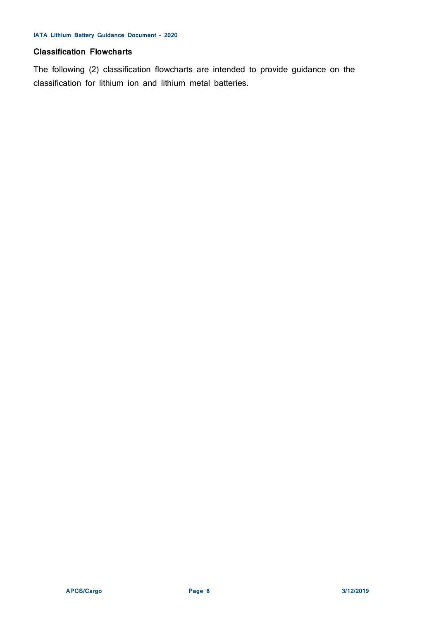# **Classification Flowcharts**

The following (2) classification flowcharts are intended to provide guidance on the classification for lithium ion and lithium metal batteries.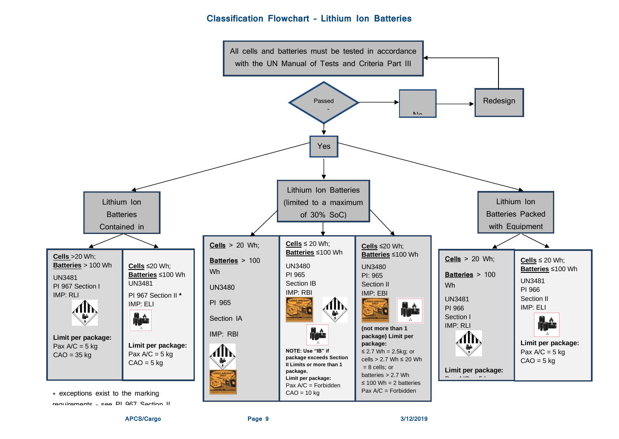# **Classification Flowchart – Lithium Ion Batteries**



**APCS/Cargo Page 9 3/12/2019**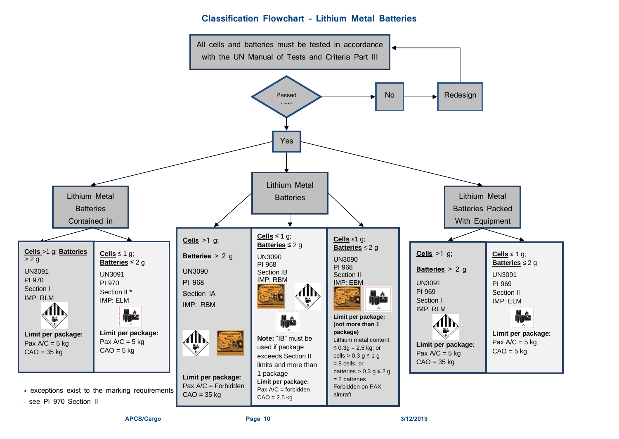# **Classification Flowchart – Lithium Metal Batteries**

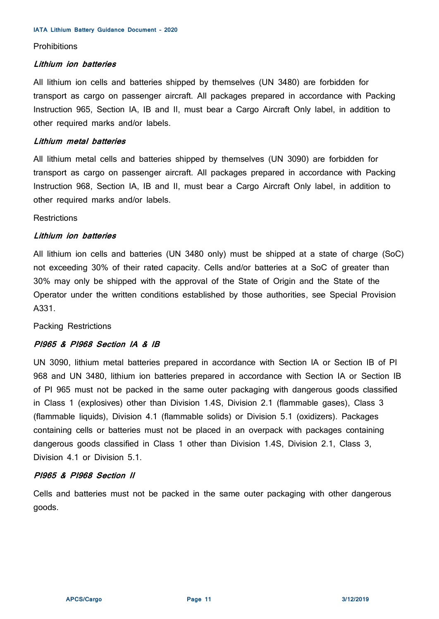## **Prohibitions**

## **Lithium ion batteries**

All lithium ion cells and batteries shipped by themselves (UN 3480) are forbidden for transport as cargo on passenger aircraft. All packages prepared in accordance with Packing Instruction 965, Section IA, IB and II, must bear a Cargo Aircraft Only label, in addition to other required marks and/or labels.

# **Lithium metal batteries**

All lithium metal cells and batteries shipped by themselves (UN 3090) are forbidden for transport as cargo on passenger aircraft. All packages prepared in accordance with Packing Instruction 968, Section IA, IB and II, must bear a Cargo Aircraft Only label, in addition to other required marks and/or labels.

# **Restrictions**

# **Lithium ion batteries**

All lithium ion cells and batteries (UN 3480 only) must be shipped at a state of charge (SoC) not exceeding 30% of their rated capacity. Cells and/or batteries at a SoC of greater than 30% may only be shipped with the approval of the State of Origin and the State of the Operator under the written conditions established by those authorities, see Special Provision A331.

Packing Restrictions

# **PI965 & PI968 Section IA & IB**

UN 3090, lithium metal batteries prepared in accordance with Section IA or Section IB of PI 968 and UN 3480, lithium ion batteries prepared in accordance with Section IA or Section IB of PI 965 must not be packed in the same outer packaging with dangerous goods classified in Class 1 (explosives) other than Division 1.4S, Division 2.1 (flammable gases), Class 3 (flammable liquids), Division 4.1 (flammable solids) or Division 5.1 (oxidizers). Packages containing cells or batteries must not be placed in an overpack with packages containing dangerous goods classified in Class 1 other than Division 1.4S, Division 2.1, Class 3, Division 4.1 or Division 5.1.

# **PI965 & PI968 Section II**

Cells and batteries must not be packed in the same outer packaging with other dangerous goods.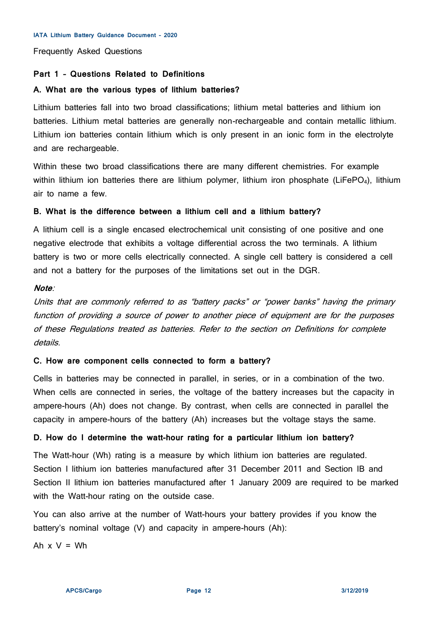Frequently Asked Questions

## **Part 1 – Questions Related to Definitions**

## **A. What are the various types of lithium batteries?**

Lithium batteries fall into two broad classifications; lithium metal batteries and lithium ion batteries. Lithium metal batteries are generally non-rechargeable and contain metallic lithium. Lithium ion batteries contain lithium which is only present in an ionic form in the electrolyte and are rechargeable.

Within these two broad classifications there are many different chemistries. For example within lithium ion batteries there are lithium polymer, lithium iron phosphate (LiFePO<sub>4</sub>), lithium air to name a few.

## **B. What is the difference between a lithium cell and a lithium battery?**

A lithium cell is a single encased electrochemical unit consisting of one positive and one negative electrode that exhibits a voltage differential across the two terminals. A lithium battery is two or more cells electrically connected. A single cell battery is considered a cell and not a battery for the purposes of the limitations set out in the DGR.

# **Note**:

Units that are commonly referred to as "battery packs" or "power banks" having the primary function of providing a source of power to another piece of equipment are for the purposes of these Regulations treated as batteries. Refer to the section on Definitions for complete details.

#### **C. How are component cells connected to form a battery?**

Cells in batteries may be connected in parallel, in series, or in a combination of the two. When cells are connected in series, the voltage of the battery increases but the capacity in ampere-hours (Ah) does not change. By contrast, when cells are connected in parallel the capacity in ampere-hours of the battery (Ah) increases but the voltage stays the same.

## **D. How do I determine the watt-hour rating for a particular lithium ion battery?**

The Watt-hour (Wh) rating is a measure by which lithium ion batteries are regulated. Section I lithium ion batteries manufactured after 31 December 2011 and Section IB and Section II lithium ion batteries manufactured after 1 January 2009 are required to be marked with the Watt-hour rating on the outside case.

You can also arrive at the number of Watt-hours your battery provides if you know the battery's nominal voltage (V) and capacity in ampere-hours (Ah):

Ah  $x V = Wh$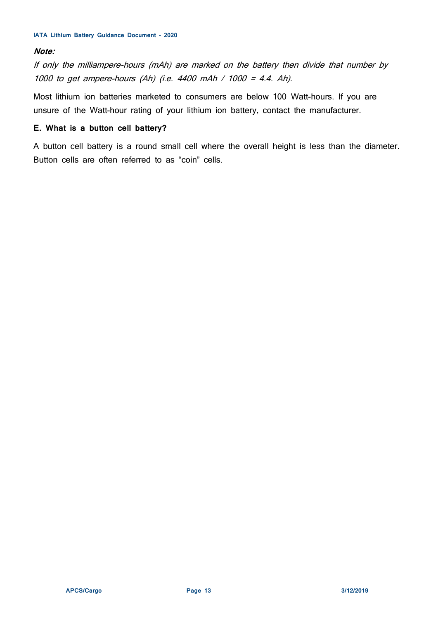# **Note:**

If only the milliampere-hours (mAh) are marked on the battery then divide that number by 1000 to get ampere-hours (Ah) (i.e. 4400 mAh / 1000 = 4.4. Ah).

Most lithium ion batteries marketed to consumers are below 100 Watt-hours. If you are unsure of the Watt-hour rating of your lithium ion battery, contact the manufacturer.

# **E. What is a button cell battery?**

A button cell battery is a round small cell where the overall height is less than the diameter. Button cells are often referred to as "coin" cells.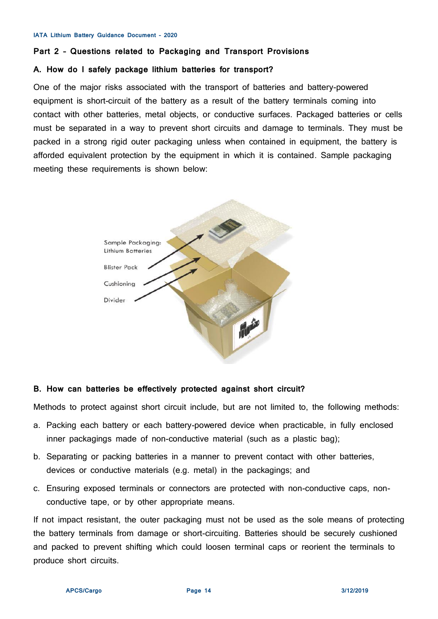#### **Part 2 – Questions related to Packaging and Transport Provisions**

## **A. How do I safely package lithium batteries for transport?**

One of the major risks associated with the transport of batteries and battery-powered equipment is short-circuit of the battery as a result of the battery terminals coming into contact with other batteries, metal objects, or conductive surfaces. Packaged batteries or cells must be separated in a way to prevent short circuits and damage to terminals. They must be packed in a strong rigid outer packaging unless when contained in equipment, the battery is afforded equivalent protection by the equipment in which it is contained. Sample packaging meeting these requirements is shown below:



#### **B. How can batteries be effectively protected against short circuit?**

Methods to protect against short circuit include, but are not limited to, the following methods:

- a. Packing each battery or each battery-powered device when practicable, in fully enclosed inner packagings made of non-conductive material (such as a plastic bag);
- b. Separating or packing batteries in a manner to prevent contact with other batteries, devices or conductive materials (e.g. metal) in the packagings; and
- c. Ensuring exposed terminals or connectors are protected with non-conductive caps, nonconductive tape, or by other appropriate means.

If not impact resistant, the outer packaging must not be used as the sole means of protecting the battery terminals from damage or short-circuiting. Batteries should be securely cushioned and packed to prevent shifting which could loosen terminal caps or reorient the terminals to produce short circuits.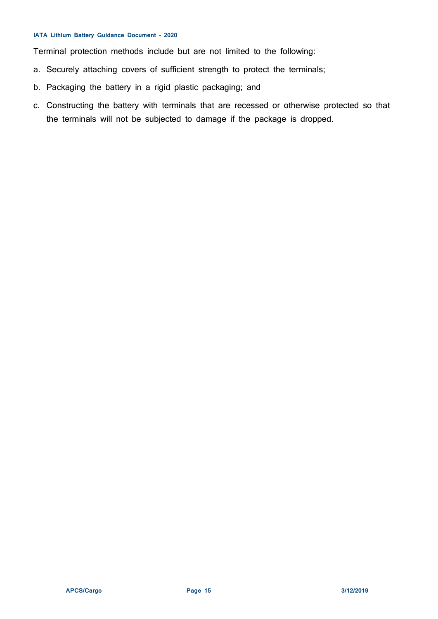Terminal protection methods include but are not limited to the following:

- a. Securely attaching covers of sufficient strength to protect the terminals;
- b. Packaging the battery in a rigid plastic packaging; and
- c. Constructing the battery with terminals that are recessed or otherwise protected so that the terminals will not be subjected to damage if the package is dropped.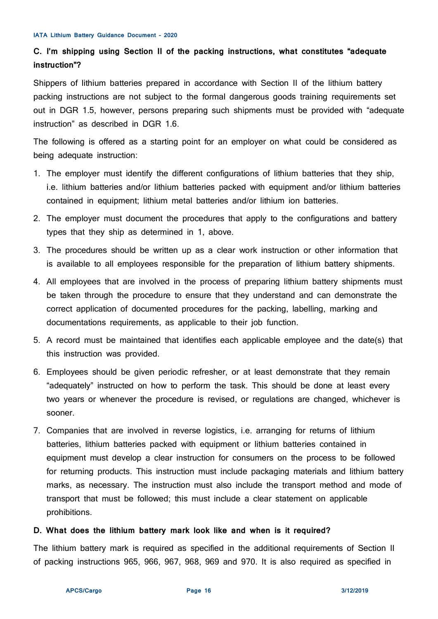# **C. I'm shipping using Section II of the packing instructions, what constitutes "adequate instruction"?**

Shippers of lithium batteries prepared in accordance with Section II of the lithium battery packing instructions are not subject to the formal dangerous goods training requirements set out in DGR 1.5, however, persons preparing such shipments must be provided with "adequate instruction" as described in DGR 1.6.

The following is offered as a starting point for an employer on what could be considered as being adequate instruction:

- 1. The employer must identify the different configurations of lithium batteries that they ship, i.e. lithium batteries and/or lithium batteries packed with equipment and/or lithium batteries contained in equipment; lithium metal batteries and/or lithium ion batteries.
- 2. The employer must document the procedures that apply to the configurations and battery types that they ship as determined in 1, above.
- 3. The procedures should be written up as a clear work instruction or other information that is available to all employees responsible for the preparation of lithium battery shipments.
- 4. All employees that are involved in the process of preparing lithium battery shipments must be taken through the procedure to ensure that they understand and can demonstrate the correct application of documented procedures for the packing, labelling, marking and documentations requirements, as applicable to their job function.
- 5. A record must be maintained that identifies each applicable employee and the date(s) that this instruction was provided.
- 6. Employees should be given periodic refresher, or at least demonstrate that they remain "adequately" instructed on how to perform the task. This should be done at least every two years or whenever the procedure is revised, or regulations are changed, whichever is sooner.
- 7. Companies that are involved in reverse logistics, i.e. arranging for returns of lithium batteries, lithium batteries packed with equipment or lithium batteries contained in equipment must develop a clear instruction for consumers on the process to be followed for returning products. This instruction must include packaging materials and lithium battery marks, as necessary. The instruction must also include the transport method and mode of transport that must be followed; this must include a clear statement on applicable prohibitions.

# **D. What does the lithium battery mark look like and when is it required?**

The lithium battery mark is required as specified in the additional requirements of Section II of packing instructions 965, 966, 967, 968, 969 and 970. It is also required as specified in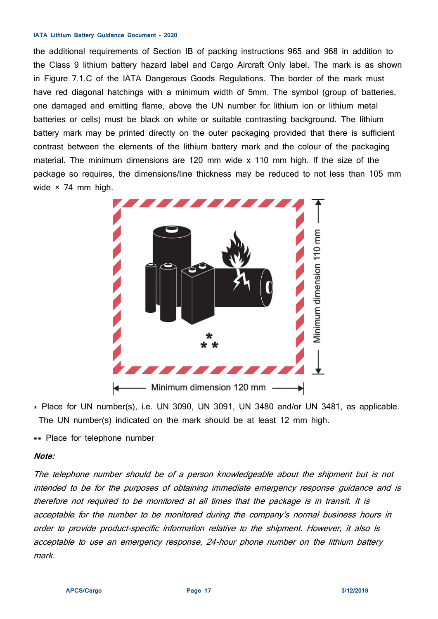the additional requirements of Section IB of packing instructions 965 and 968 in addition to the Class 9 lithium battery hazard label and Cargo Aircraft Only label. The mark is as shown in Figure 7.1.C of the IATA Dangerous Goods Regulations. The border of the mark must have red diagonal hatchings with a minimum width of 5mm. The symbol (group of batteries, one damaged and emitting flame, above the UN number for lithium ion or lithium metal batteries or cells) must be black on white or suitable contrasting background. The lithium battery mark may be printed directly on the outer packaging provided that there is sufficient contrast between the elements of the lithium battery mark and the colour of the packaging material. The minimum dimensions are 120 mm wide x 110 mm high. If the size of the package so requires, the dimensions/line thickness may be reduced to not less than 105 mm wide × 74 mm high.

<span id="page-16-0"></span>

\* Place for UN number(s), i.e. UN 3090, UN 3091, UN 3480 and/or UN 3481, as applicable. The UN number(s) indicated on the mark should be at least 12 mm high.

\*\* Place for telephone number

## **Note:**

The telephone number should be of a person knowledgeable about the shipment but is not intended to be for the purposes of obtaining immediate emergency response guidance and is therefore not required to be monitored at all times that the package is in transit. It is acceptable for the number to be monitored during the company's normal business hours in order to provide product-specific information relative to the shipment. However, it also is acceptable to use an emergency response, 24-hour phone number on the lithium battery mark.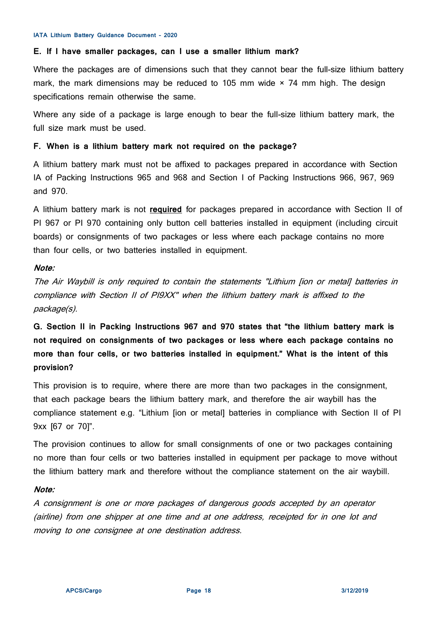# **E. If I have smaller packages, can I use a smaller lithium mark?**

Where the packages are of dimensions such that they cannot bear the full-size lithium battery mark, the mark dimensions may be reduced to 105 mm wide  $\times$  74 mm high. The design specifications remain otherwise the same.

Where any side of a package is large enough to bear the full-size lithium battery mark, the full size mark must be used.

# **F. When is a lithium battery mark not required on the package?**

A lithium battery mark must not be affixed to packages prepared in accordance with Section IA of Packing Instructions 965 and 968 and Section I of Packing Instructions 966, 967, 969 and 970.

A lithium battery mark is not **required** for packages prepared in accordance with Section II of PI 967 or PI 970 containing only button cell batteries installed in equipment (including circuit boards) or consignments of two packages or less where each package contains no more than four cells, or two batteries installed in equipment.

# **Note:**

The Air Waybill is only required to contain the statements "Lithium [ion or metal] batteries in compliance with Section II of PI9XX" when the lithium battery mark is affixed to the package(s).

**G. Section II in Packing Instructions 967 and 970 states that "the lithium battery mark is not required on consignments of two packages or less where each package contains no more than four cells, or two batteries installed in equipment." What is the intent of this provision?**

This provision is to require, where there are more than two packages in the consignment, that each package bears the lithium battery mark, and therefore the air waybill has the compliance statement e.g. "Lithium [ion or metal] batteries in compliance with Section II of PI 9xx [67 or 70]".

The provision continues to allow for small consignments of one or two packages containing no more than four cells or two batteries installed in equipment per package to move without the lithium battery mark and therefore without the compliance statement on the air waybill.

# **Note:**

A consignment is one or more packages of dangerous goods accepted by an operator (airline) from one shipper at one time and at one address, receipted for in one lot and moving to one consignee at one destination address.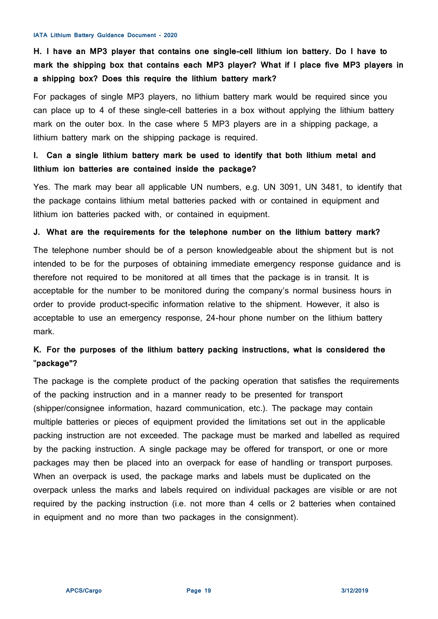# **H. I have an MP3 player that contains one single-cell lithium ion battery. Do I have to mark the shipping box that contains each MP3 player? What if I place five MP3 players in a shipping box? Does this require the lithium battery mark?**

For packages of single MP3 players, no lithium battery mark would be required since you can place up to 4 of these single-cell batteries in a box without applying the lithium battery mark on the outer box. In the case where 5 MP3 players are in a shipping package, a lithium battery mark on the shipping package is required.

# **I. Can a single lithium battery mark be used to identify that both lithium metal and lithium ion batteries are contained inside the package?**

Yes. The mark may bear all applicable UN numbers, e.g. UN 3091, UN 3481, to identify that the package contains lithium metal batteries packed with or contained in equipment and lithium ion batteries packed with, or contained in equipment.

## **J. What are the requirements for the telephone number on the lithium battery mark?**

The telephone number should be of a person knowledgeable about the shipment but is not intended to be for the purposes of obtaining immediate emergency response guidance and is therefore not required to be monitored at all times that the package is in transit. It is acceptable for the number to be monitored during the company's normal business hours in order to provide product-specific information relative to the shipment. However, it also is acceptable to use an emergency response, 24-hour phone number on the lithium battery mark.

# **K. For the purposes of the lithium battery packing instructions, what is considered the** "**package"?**

The package is the complete product of the packing operation that satisfies the requirements of the packing instruction and in a manner ready to be presented for transport (shipper/consignee information, hazard communication, etc.). The package may contain multiple batteries or pieces of equipment provided the limitations set out in the applicable packing instruction are not exceeded. The package must be marked and labelled as required by the packing instruction. A single package may be offered for transport, or one or more packages may then be placed into an overpack for ease of handling or transport purposes. When an overpack is used, the package marks and labels must be duplicated on the overpack unless the marks and labels required on individual packages are visible or are not required by the packing instruction (i.e. not more than 4 cells or 2 batteries when contained in equipment and no more than two packages in the consignment).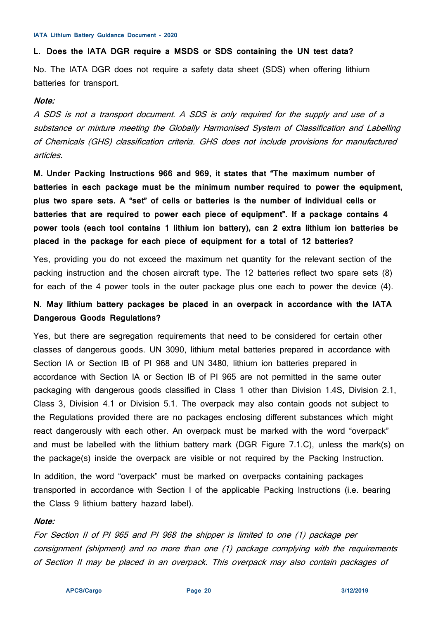## **L. Does the IATA DGR require a MSDS or SDS containing the UN test data?**

No. The IATA DGR does not require a safety data sheet (SDS) when offering lithium batteries for transport.

## **Note:**

A SDS is not a transport document. A SDS is only required for the supply and use of a substance or mixture meeting the Globally Harmonised System of Classification and Labelling of Chemicals (GHS) classification criteria. GHS does not include provisions for manufactured articles.

**M. Under Packing Instructions 966 and 969, it states that "The maximum number of batteries in each package must be the minimum number required to power the equipment, plus two spare sets. A "set" of cells or batteries is the number of individual cells or batteries that are required to power each piece of equipment". If a package contains 4 power tools (each tool contains 1 lithium ion battery), can 2 extra lithium ion batteries be placed in the package for each piece of equipment for a total of 12 batteries?**

Yes, providing you do not exceed the maximum net quantity for the relevant section of the packing instruction and the chosen aircraft type. The 12 batteries reflect two spare sets (8) for each of the 4 power tools in the outer package plus one each to power the device (4).

# **N. May lithium battery packages be placed in an overpack in accordance with the IATA Dangerous Goods Regulations?**

Yes, but there are segregation requirements that need to be considered for certain other classes of dangerous goods. UN 3090, lithium metal batteries prepared in accordance with Section IA or Section IB of PI 968 and UN 3480, lithium ion batteries prepared in accordance with Section IA or Section IB of PI 965 are not permitted in the same outer packaging with dangerous goods classified in Class 1 other than Division 1.4S, Division 2.1, Class 3, Division 4.1 or Division 5.1. The overpack may also contain goods not subject to the Regulations provided there are no packages enclosing different substances which might react dangerously with each other. An overpack must be marked with the word "overpack" and must be labelled with the lithium battery mark (DGR Figure 7.1.C), unless the mark(s) on the package(s) inside the overpack are visible or not required by the Packing Instruction.

In addition, the word "overpack" must be marked on overpacks containing packages transported in accordance with Section I of the applicable Packing Instructions (i.e. bearing the Class 9 lithium battery hazard label).

## **Note:**

For Section II of PI 965 and PI 968 the shipper is limited to one (1) package per consignment (shipment) and no more than one (1) package complying with the requirements of Section II may be placed in an overpack. This overpack may also contain packages of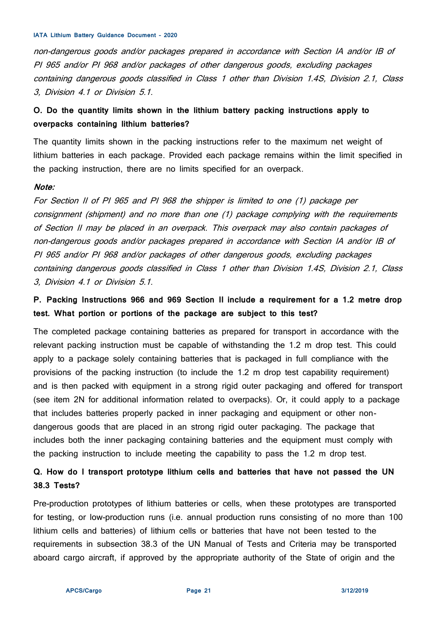non-dangerous goods and/or packages prepared in accordance with Section IA and/or IB of PI 965 and/or PI 968 and/or packages of other dangerous goods, excluding packages containing dangerous goods classified in Class 1 other than Division 1.4S, Division 2.1, Class 3, Division 4.1 or Division 5.1.

# **O. Do the quantity limits shown in the lithium battery packing instructions apply to overpacks containing lithium batteries?**

The quantity limits shown in the packing instructions refer to the maximum net weight of lithium batteries in each package. Provided each package remains within the limit specified in the packing instruction, there are no limits specified for an overpack.

#### **Note:**

For Section II of PI 965 and PI 968 the shipper is limited to one (1) package per consignment (shipment) and no more than one (1) package complying with the requirements of Section II may be placed in an overpack. This overpack may also contain packages of non-dangerous goods and/or packages prepared in accordance with Section IA and/or IB of PI 965 and/or PI 968 and/or packages of other dangerous goods, excluding packages containing dangerous goods classified in Class 1 other than Division 1.4S, Division 2.1, Class 3, Division 4.1 or Division 5.1.

# **P. Packing Instructions 966 and 969 Section II include a requirement for a 1.2 metre drop test. What portion or portions of the package are subject to this test?**

The completed package containing batteries as prepared for transport in accordance with the relevant packing instruction must be capable of withstanding the 1.2 m drop test. This could apply to a package solely containing batteries that is packaged in full compliance with the provisions of the packing instruction (to include the 1.2 m drop test capability requirement) and is then packed with equipment in a strong rigid outer packaging and offered for transport (see item 2N for additional information related to overpacks). Or, it could apply to a package that includes batteries properly packed in inner packaging and equipment or other nondangerous goods that are placed in an strong rigid outer packaging. The package that includes both the inner packaging containing batteries and the equipment must comply with the packing instruction to include meeting the capability to pass the 1.2 m drop test.

# **Q. How do I transport prototype lithium cells and batteries that have not passed the UN 38.3 Tests?**

Pre-production prototypes of lithium batteries or cells, when these prototypes are transported for testing, or low-production runs (i.e. annual production runs consisting of no more than 100 lithium cells and batteries) of lithium cells or batteries that have not been tested to the requirements in subsection 38.3 of the UN Manual of Tests and Criteria may be transported aboard cargo aircraft, if approved by the appropriate authority of the State of origin and the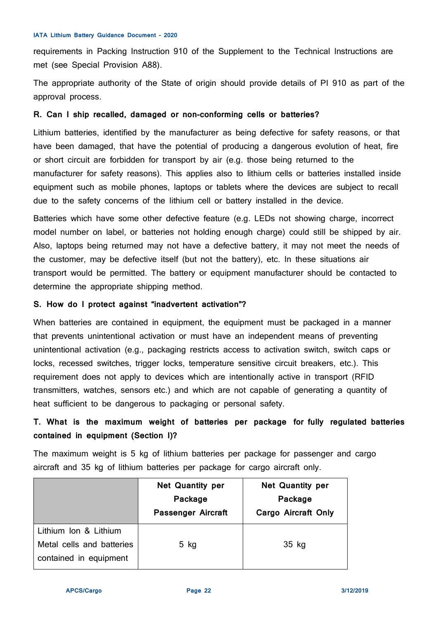requirements in Packing Instruction 910 of the Supplement to the Technical Instructions are met (see Special Provision A88).

The appropriate authority of the State of origin should provide details of PI 910 as part of the approval process.

# **R. Can I ship recalled, damaged or non-conforming cells or batteries?**

Lithium batteries, identified by the manufacturer as being defective for safety reasons, or that have been damaged, that have the potential of producing a dangerous evolution of heat, fire or short circuit are forbidden for transport by air (e.g. those being returned to the manufacturer for safety reasons). This applies also to lithium cells or batteries installed inside equipment such as mobile phones, laptops or tablets where the devices are subject to recall due to the safety concerns of the lithium cell or battery installed in the device.

Batteries which have some other defective feature (e.g. LEDs not showing charge, incorrect model number on label, or batteries not holding enough charge) could still be shipped by air. Also, laptops being returned may not have a defective battery, it may not meet the needs of the customer, may be defective itself (but not the battery), etc. In these situations air transport would be permitted. The battery or equipment manufacturer should be contacted to determine the appropriate shipping method.

# **S. How do I protect against "inadvertent activation"?**

When batteries are contained in equipment, the equipment must be packaged in a manner that prevents unintentional activation or must have an independent means of preventing unintentional activation (e.g., packaging restricts access to activation switch, switch caps or locks, recessed switches, trigger locks, temperature sensitive circuit breakers, etc.). This requirement does not apply to devices which are intentionally active in transport (RFID transmitters, watches, sensors etc.) and which are not capable of generating a quantity of heat sufficient to be dangerous to packaging or personal safety.

# **T. What is the maximum weight of batteries per package for fully regulated batteries contained in equipment (Section I)?**

The maximum weight is 5 kg of lithium batteries per package for passenger and cargo aircraft and 35 kg of lithium batteries per package for cargo aircraft only.

|                                                                              | <b>Net Quantity per</b><br>Package<br>Passenger Aircraft | <b>Net Quantity per</b><br>Package<br>Cargo Aircraft Only |
|------------------------------------------------------------------------------|----------------------------------------------------------|-----------------------------------------------------------|
| Lithium Ion & Lithium<br>Metal cells and batteries<br>contained in equipment | $5$ kg                                                   | 35 kg                                                     |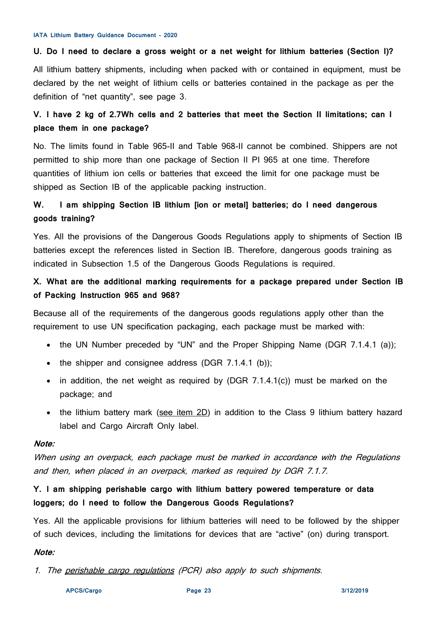# **U. Do I need to declare a gross weight or a net weight for lithium batteries (Section I)?**

All lithium battery shipments, including when packed with or contained in equipment, must be declared by the net weight of lithium cells or batteries contained in the package as per the definition of "net quantity", see page 3.

# **V. I have 2 kg of 2.7Wh cells and 2 batteries that meet the Section II limitations; can I place them in one package?**

No. The limits found in Table 965-II and Table 968-II cannot be combined. Shippers are not permitted to ship more than one package of Section II PI 965 at one time. Therefore quantities of lithium ion cells or batteries that exceed the limit for one package must be shipped as Section IB of the applicable packing instruction.

# **W. I am shipping Section IB lithium [ion or metal] batteries; do I need dangerous goods training?**

Yes. All the provisions of the Dangerous Goods Regulations apply to shipments of Section IB batteries except the references listed in Section IB. Therefore, dangerous goods training as indicated in Subsection 1.5 of the Dangerous Goods Regulations is required.

# **X. What are the additional marking requirements for a package prepared under Section IB of Packing Instruction 965 and 968?**

Because all of the requirements of the dangerous goods regulations apply other than the requirement to use UN specification packaging, each package must be marked with:

- the UN Number preceded by "UN" and the Proper Shipping Name (DGR 7.1.4.1 (a));
- the shipper and consignee address (DGR  $7.1.4.1$  (b));
- in addition, the net weight as required by (DGR 7.1.4.1(c)) must be marked on the package; and
- the lithium battery mark [\(see item 2D\)](#page-16-0) in addition to the Class 9 lithium battery hazard label and Cargo Aircraft Only label.

# **Note:**

When using an overpack, each package must be marked in accordance with the Regulations and then, when placed in an overpack, marked as required by DGR 7.1.7.

# **Y. I am shipping perishable cargo with lithium battery powered temperature or data loggers; do I need to follow the Dangerous Goods Regulations?**

Yes. All the applicable provisions for lithium batteries will need to be followed by the shipper of such devices, including the limitations for devices that are "active" (on) during transport.

# **Note:**

1. The [perishable cargo regulations](http://www.iata.org/pcr) (PCR) also apply to such shipments.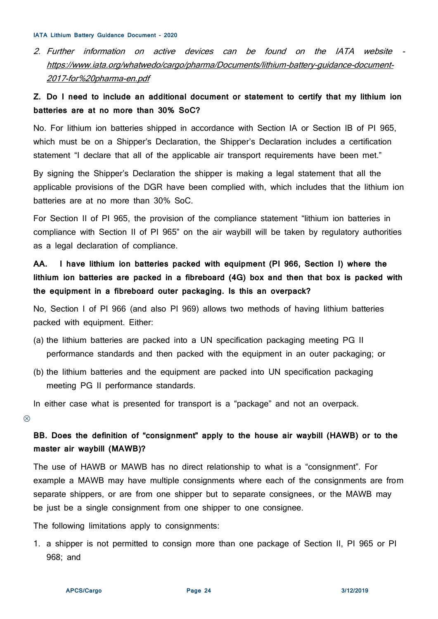2. Further information on active devices can be found on the IATA website [https://www.iata.org/whatwedo/cargo/pharma/Documents/lithium-battery-guidance-document-](https://www.iata.org/whatwedo/cargo/pharma/Documents/lithium-battery-guidance-document-2017-for%20pharma-en.pdf)[2017-for%20pharma-en.pdf](https://www.iata.org/whatwedo/cargo/pharma/Documents/lithium-battery-guidance-document-2017-for%20pharma-en.pdf)

# **Z. Do I need to include an additional document or statement to certify that my lithium ion batteries are at no more than 30% SoC?**

No. For lithium ion batteries shipped in accordance with Section IA or Section IB of PI 965, which must be on a Shipper's Declaration, the Shipper's Declaration includes a certification statement "I declare that all of the applicable air transport requirements have been met."

By signing the Shipper's Declaration the shipper is making a legal statement that all the applicable provisions of the DGR have been complied with, which includes that the lithium ion batteries are at no more than 30% SoC.

For Section II of PI 965, the provision of the compliance statement "lithium ion batteries in compliance with Section II of PI 965" on the air waybill will be taken by regulatory authorities as a legal declaration of compliance.

**AA. I have lithium ion batteries packed with equipment (PI 966, Section I) where the lithium ion batteries are packed in a fibreboard (4G) box and then that box is packed with the equipment in a fibreboard outer packaging. Is this an overpack?**

No, Section I of PI 966 (and also PI 969) allows two methods of having lithium batteries packed with equipment. Either:

- (a) the lithium batteries are packed into a UN specification packaging meeting PG II performance standards and then packed with the equipment in an outer packaging; or
- (b) the lithium batteries and the equipment are packed into UN specification packaging meeting PG II performance standards.

In either case what is presented for transport is a "package" and not an overpack.

 $\circledR$ 

**BB. Does the definition of "consignment" apply to the house air waybill (HAWB) or to the master air waybill (MAWB)?**

The use of HAWB or MAWB has no direct relationship to what is a "consignment". For example a MAWB may have multiple consignments where each of the consignments are from separate shippers, or are from one shipper but to separate consignees, or the MAWB may be just be a single consignment from one shipper to one consignee.

The following limitations apply to consignments:

1. a shipper is not permitted to consign more than one package of Section II, PI 965 or PI 968; and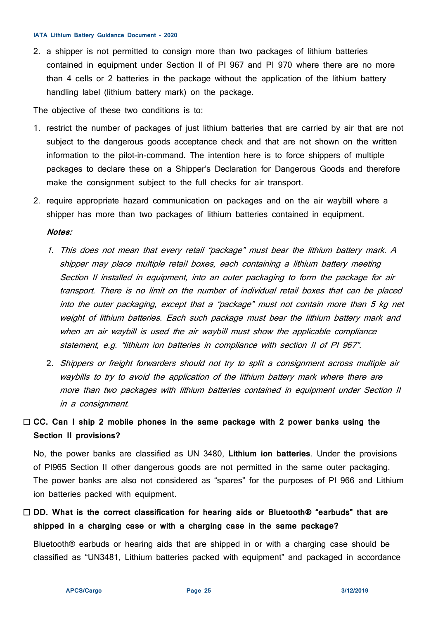2. a shipper is not permitted to consign more than two packages of lithium batteries contained in equipment under Section II of PI 967 and PI 970 where there are no more than 4 cells or 2 batteries in the package without the application of the lithium battery handling label (lithium battery mark) on the package.

The objective of these two conditions is to:

- 1. restrict the number of packages of just lithium batteries that are carried by air that are not subject to the dangerous goods acceptance check and that are not shown on the written information to the pilot-in-command. The intention here is to force shippers of multiple packages to declare these on a Shipper's Declaration for Dangerous Goods and therefore make the consignment subject to the full checks for air transport.
- 2. require appropriate hazard communication on packages and on the air waybill where a shipper has more than two packages of lithium batteries contained in equipment.

#### **Notes:**

- 1. This does not mean that every retail "package" must bear the lithium battery mark. A shipper may place multiple retail boxes, each containing a lithium battery meeting Section II installed in equipment, into an outer packaging to form the package for air transport. There is no limit on the number of individual retail boxes that can be placed into the outer packaging, except that a "package" must not contain more than 5 kg net weight of lithium batteries. Each such package must bear the lithium battery mark and when an air waybill is used the air waybill must show the applicable compliance statement, e.g. "lithium ion batteries in compliance with section II of PI 967".
- 2. Shippers or freight forwarders should not try to split a consignment across multiple air waybills to try to avoid the application of the lithium battery mark where there are more than two packages with lithium batteries contained in equipment under Section II in a consignment.

# **CC. Can I ship 2 mobile phones in the same package with 2 power banks using the Section II provisions?**

No, the power banks are classified as UN 3480, **Lithium ion batteries**. Under the provisions of PI965 Section II other dangerous goods are not permitted in the same outer packaging. The power banks are also not considered as "spares" for the purposes of PI 966 and Lithium ion batteries packed with equipment.

 **DD. What is the correct classification for hearing aids or Bluetooth® "earbuds" that are shipped in a charging case or with a charging case in the same package?**

Bluetooth® earbuds or hearing aids that are shipped in or with a charging case should be classified as "UN3481, Lithium batteries packed with equipment" and packaged in accordance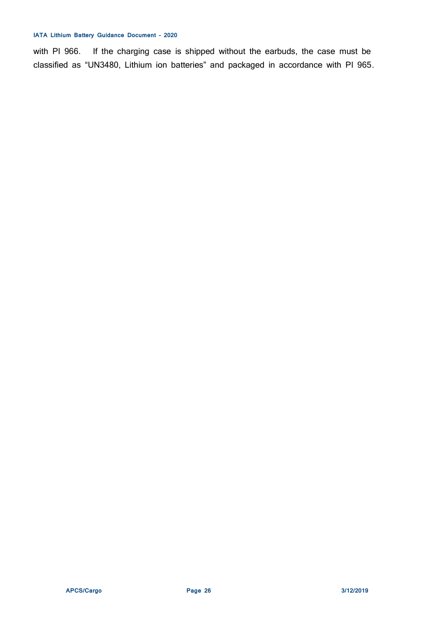with PI 966. If the charging case is shipped without the earbuds, the case must be classified as "UN3480, Lithium ion batteries" and packaged in accordance with PI 965.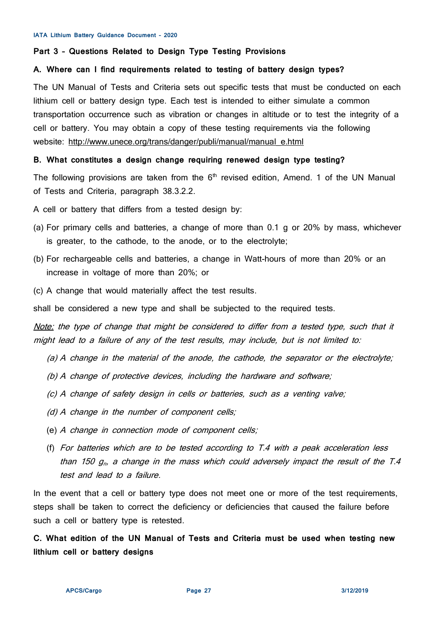#### **Part 3 – Questions Related to Design Type Testing Provisions**

## **A. Where can I find requirements related to testing of battery design types?**

The UN Manual of Tests and Criteria sets out specific tests that must be conducted on each lithium cell or battery design type. Each test is intended to either simulate a common transportation occurrence such as vibration or changes in altitude or to test the integrity of a cell or battery. You may obtain a copy of these testing requirements via the following website: [http://www.unece.org/trans/danger/publi/manual/manual\\_e.html](http://www.unece.org/trans/danger/publi/manual/manual_e.html)

## **B. What constitutes a design change requiring renewed design type testing?**

The following provisions are taken from the  $6<sup>th</sup>$  revised edition, Amend. 1 of the UN Manual of Tests and Criteria, paragraph 38.3.2.2.

A cell or battery that differs from a tested design by:

- (a) For primary cells and batteries, a change of more than 0.1 g or 20% by mass, whichever is greater, to the cathode, to the anode, or to the electrolyte;
- (b) For rechargeable cells and batteries, a change in Watt-hours of more than 20% or an increase in voltage of more than 20%; or
- (c) A change that would materially affect the test results.

shall be considered a new type and shall be subjected to the required tests.

Note: the type of change that might be considered to differ from a tested type, such that it might lead to a failure of any of the test results, may include, but is not limited to:

- (a) A change in the material of the anode, the cathode, the separator or the electrolyte;
- (b) A change of protective devices, including the hardware and software;
- (c) A change of safety design in cells or batteries, such as a venting valve;
- (d) A change in the number of component cells;
- (e) A change in connection mode of component cells;
- (f) For batteries which are to be tested according to T.4 with a peak acceleration less than 150  $g<sub>n</sub>$ , a change in the mass which could adversely impact the result of the T.4 test and lead to a failure.

In the event that a cell or battery type does not meet one or more of the test requirements, steps shall be taken to correct the deficiency or deficiencies that caused the failure before such a cell or battery type is retested.

**C. What edition of the UN Manual of Tests and Criteria must be used when testing new lithium cell or battery designs**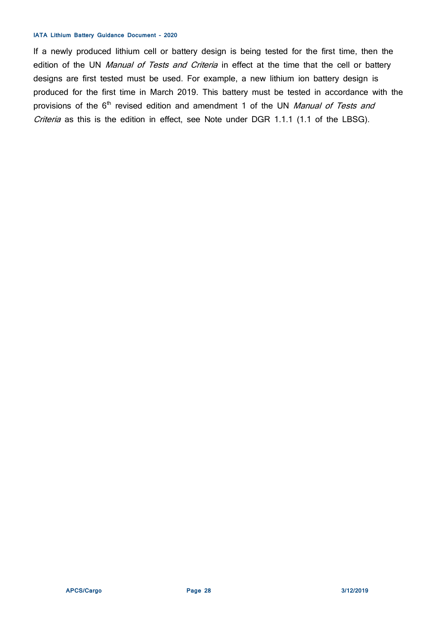If a newly produced lithium cell or battery design is being tested for the first time, then the edition of the UN Manual of Tests and Criteria in effect at the time that the cell or battery designs are first tested must be used. For example, a new lithium ion battery design is produced for the first time in March 2019. This battery must be tested in accordance with the provisions of the  $6<sup>th</sup>$  revised edition and amendment 1 of the UN Manual of Tests and Criteria as this is the edition in effect, see Note under DGR 1.1.1 (1.1 of the LBSG).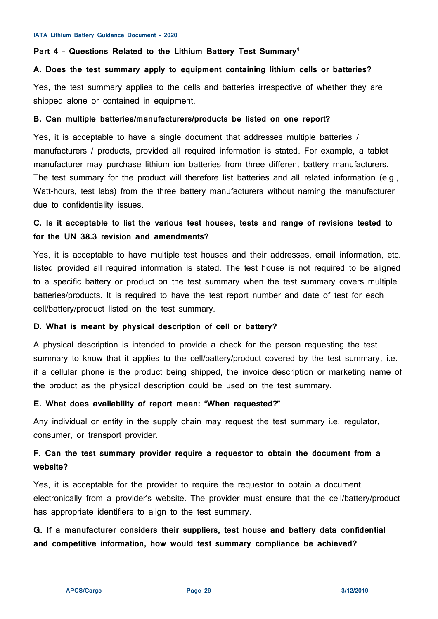#### <span id="page-28-0"></span>Part 4 - Questions Related to the Lithium Battery Test Summary<sup>1</sup>

## **A. Does the test summary apply to equipment containing lithium cells or batteries?**

Yes, the test summary applies to the cells and batteries irrespective of whether they are shipped alone or contained in equipment.

#### **B. Can multiple batteries/manufacturers/products be listed on one report?**

Yes, it is acceptable to have a single document that addresses multiple batteries / manufacturers / products, provided all required information is stated. For example, a tablet manufacturer may purchase lithium ion batteries from three different battery manufacturers. The test summary for the product will therefore list batteries and all related information (e.g., Watt-hours, test labs) from the three battery manufacturers without naming the manufacturer due to confidentiality issues.

# **C. Is it acceptable to list the various test houses, tests and range of revisions tested to for the UN 38.3 revision and amendments?**

Yes, it is acceptable to have multiple test houses and their addresses, email information, etc. listed provided all required information is stated. The test house is not required to be aligned to a specific battery or product on the test summary when the test summary covers multiple batteries/products. It is required to have the test report number and date of test for each cell/battery/product listed on the test summary.

# **D. What is meant by physical description of cell or battery?**

A physical description is intended to provide a check for the person requesting the test summary to know that it applies to the cell/battery/product covered by the test summary, i.e. if a cellular phone is the product being shipped, the invoice description or marketing name of the product as the physical description could be used on the test summary.

## **E. What does availability of report mean: "When requested?"**

Any individual or entity in the supply chain may request the test summary i.e. regulator, consumer, or transport provider.

# **F. Can the test summary provider require a requestor to obtain the document from a website?**

Yes, it is acceptable for the provider to require the requestor to obtain a document electronically from a provider's website. The provider must ensure that the cell/battery/product has appropriate identifiers to align to the test summary.

# **G. If a manufacturer considers their suppliers, test house and battery data confidential and competitive information, how would test summary compliance be achieved?**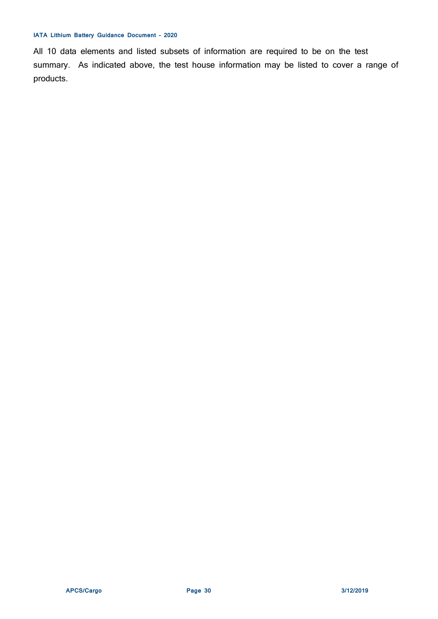All 10 data elements and listed subsets of information are required to be on the test summary. As indicated above, the test house information may be listed to cover a range of products.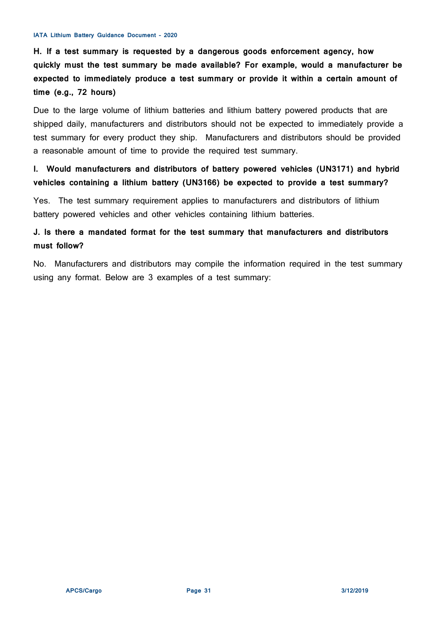**H. If a test summary is requested by a dangerous goods enforcement agency, how quickly must the test summary be made available? For example, would a manufacturer be expected to immediately produce a test summary or provide it within a certain amount of time (e.g., 72 hours)**

Due to the large volume of lithium batteries and lithium battery powered products that are shipped daily, manufacturers and distributors should not be expected to immediately provide a test summary for every product they ship. Manufacturers and distributors should be provided a reasonable amount of time to provide the required test summary.

**I. Would manufacturers and distributors of battery powered vehicles (UN3171) and hybrid vehicles containing a lithium battery (UN3166) be expected to provide a test summary?**

Yes. The test summary requirement applies to manufacturers and distributors of lithium battery powered vehicles and other vehicles containing lithium batteries.

# **J. Is there a mandated format for the test summary that manufacturers and distributors must follow?**

No. Manufacturers and distributors may compile the information required in the test summary using any format. Below are 3 examples of a test summary: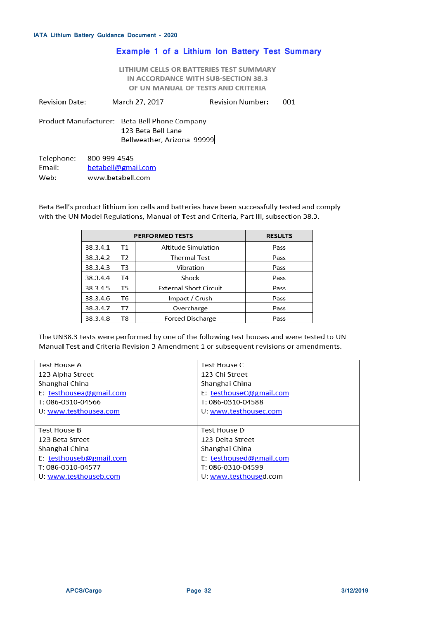## **Example 1 of a Lithium Ion Battery Test Summary**

LITHIUM CELLS OR BATTERIES TEST SUMMARY IN ACCORDANCE WITH SUB-SECTION 38.3 OF UN MANUAL OF TESTS AND CRITERIA

| <b>Revision Date:</b> | March 27, 2017 | <b>Revision Number:</b> | 001 |
|-----------------------|----------------|-------------------------|-----|
|-----------------------|----------------|-------------------------|-----|

Product Manufacturer: Beta Bell Phone Company 123 Beta Bell Lane Bellweather, Arizona 99999

800-999-4545 Telephone: Email: betabell@gmail.com Web: www.betabell.com

Beta Bell's product lithium ion cells and batteries have been successfully tested and comply with the UN Model Regulations, Manual of Test and Criteria, Part III, subsection 38.3.

| <b>PERFORMED TESTS</b> |    |                               | <b>RESULTS</b> |
|------------------------|----|-------------------------------|----------------|
| 38.3.4.1               | Τ1 | Altitude Simulation           | Pass           |
| 38.3.4.2               | T2 | Thermal Test                  | Pass           |
| 38.3.4.3               | T3 | Vibration                     | Pass           |
| 38.3.4.4               | T4 | Shock                         | Pass           |
| 38.3.4.5               | T5 | <b>External Short Circuit</b> | Pass           |
| 38.3.4.6               | T6 | Impact / Crush<br>Pass        |                |
| 38.3.4.7               | Τ7 | Overcharge<br>Pass            |                |
| 38.3.4.8               | T8 | <b>Forced Discharge</b>       | Pass           |

The UN38.3 tests were performed by one of the following test houses and were tested to UN Manual Test and Criteria Revision 3 Amendment 1 or subsequent revisions or amendments.

| Test House A            | Test House C            |
|-------------------------|-------------------------|
| 123 Alpha Street        | 123 Chi Street          |
| Shanghai China          | Shanghai China          |
| E: testhousea@gmail.com | E: testhouseC@gmail.com |
| T: 086-0310-04566       | T: 086-0310-04588       |
| U: www.testhousea.com   | U: www.testhousec.com   |
|                         |                         |
| <b>Test House B</b>     | Test House D            |
| 123 Beta Street         | 123 Delta Street        |
| Shanghai China          | Shanghai China          |
| E: testhouseb@gmail.com | E: testhoused@gmail.com |
| T: 086-0310-04577       | T: 086-0310-04599       |
| U. www.testhouseb.com   | U: www.testhoused.com   |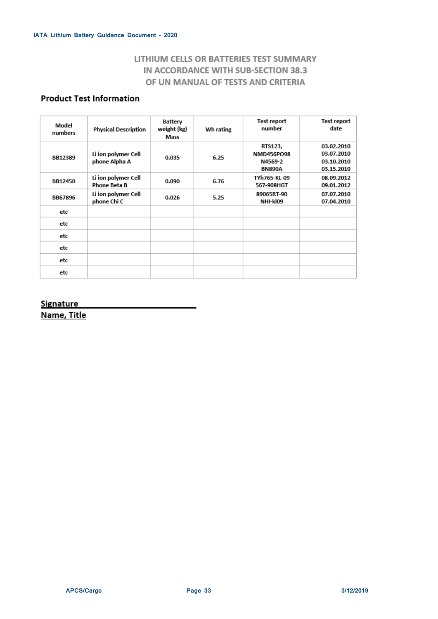# LITHIUM CELLS OR BATTERIES TEST SUMMARY IN ACCORDANCE WITH SUB-SECTION 38.3 OF UN MANUAL OF TESTS AND CRITERIA

# **Product Test Information**

| Model<br>numbers | <b>Physical Description</b>                | Battery<br>weight (kg)<br>Mass | Wh rating | Test report<br>number                             | Test report<br>date                                  |
|------------------|--------------------------------------------|--------------------------------|-----------|---------------------------------------------------|------------------------------------------------------|
| BB12389          | Li ion polymer Cell<br>phone Alpha A       | 0.035                          | 6.25      | RTS123,<br>NMD456PO98<br>N4569-2<br><b>BN890A</b> | 03.02.2010<br>03.07.2010<br>03.10.2010<br>03.15.2010 |
| BB12450          | Li ion polymer Cell<br><b>Phone Beta B</b> | 0.090                          | 6.76      | TYh765-KL-09<br>567-908HGT                        | 08.09.2012<br>09.01.2012                             |
| <b>BB67896</b>   | Li ion polymer Cell<br>phone Chi C         | 0.026                          | 5.25      | 89065RT-90<br>NHI-kl09                            | 07.07.2010<br>07.04.2010                             |
| etc              |                                            |                                |           |                                                   |                                                      |
| etc              |                                            |                                |           |                                                   |                                                      |
| etc              |                                            |                                |           |                                                   |                                                      |
| etc              |                                            |                                |           |                                                   |                                                      |
| etc              |                                            |                                |           |                                                   |                                                      |
| etc              |                                            |                                |           |                                                   |                                                      |

# **Signature**

Name, Title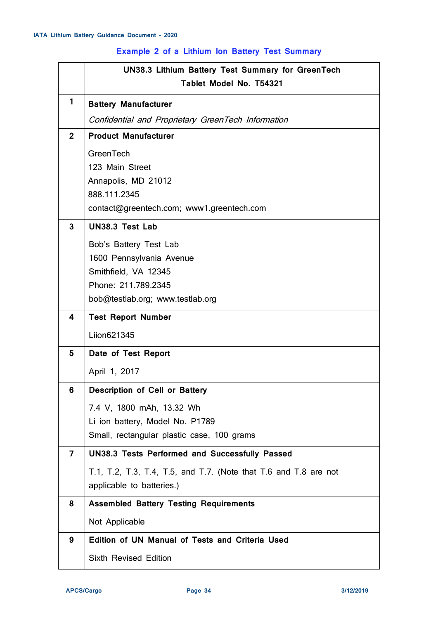# **Example 2 of a Lithium Ion Battery Test Summary**

|                | <b>UN38.3 Lithium Battery Test Summary for GreenTech</b>         |
|----------------|------------------------------------------------------------------|
|                | Tablet Model No. T54321                                          |
| $\mathbf{1}$   | <b>Battery Manufacturer</b>                                      |
|                | Confidential and Proprietary GreenTech Information               |
| $\overline{2}$ | <b>Product Manufacturer</b>                                      |
|                | <b>GreenTech</b>                                                 |
|                | 123 Main Street                                                  |
|                | Annapolis, MD 21012<br>888.111.2345                              |
|                | contact@greentech.com; www1.greentech.com                        |
| 3              | <b>UN38.3 Test Lab</b>                                           |
|                |                                                                  |
|                | Bob's Battery Test Lab                                           |
|                | 1600 Pennsylvania Avenue<br>Smithfield, VA 12345                 |
|                | Phone: 211.789.2345                                              |
|                | bob@testlab.org; www.testlab.org                                 |
| 4              | <b>Test Report Number</b>                                        |
|                | Liion621345                                                      |
| 5              | Date of Test Report                                              |
|                | April 1, 2017                                                    |
| 6              | Description of Cell or Battery                                   |
|                | 7.4 V, 1800 mAh, 13.32 Wh                                        |
|                | Li ion battery, Model No. P1789                                  |
|                | Small, rectangular plastic case, 100 grams                       |
| $\overline{7}$ | <b>UN38.3 Tests Performed and Successfully Passed</b>            |
|                | T.1, T.2, T.3, T.4, T.5, and T.7. (Note that T.6 and T.8 are not |
|                | applicable to batteries.)                                        |
| 8              | <b>Assembled Battery Testing Requirements</b>                    |
|                | Not Applicable                                                   |
| 9              | Edition of UN Manual of Tests and Criteria Used                  |
|                | <b>Sixth Revised Edition</b>                                     |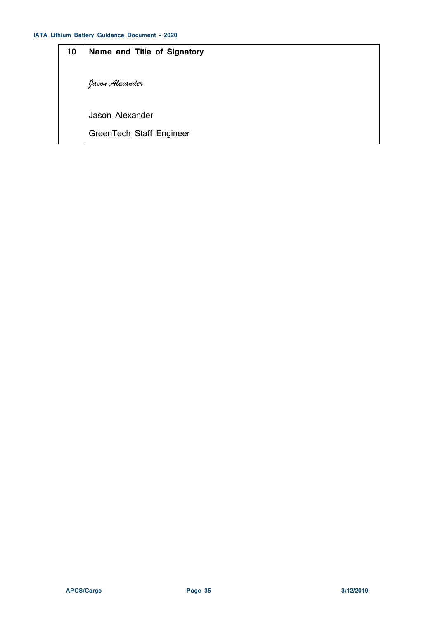| 10 | Name and Title of Signatory |
|----|-----------------------------|
|    | Jason Alexander             |
|    | Jason Alexander             |
|    | GreenTech Staff Engineer    |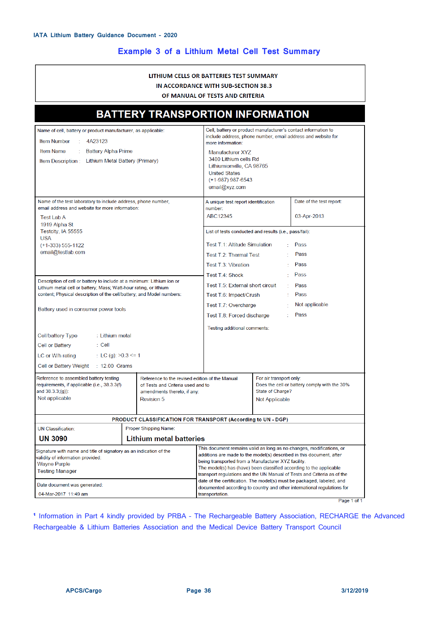# **Example 3 of a Lithium Metal Cell Test Summary**

|                                                                                                                                                                                                                                                                   |                                                                     | LITHIUM CELLS OR BATTERIES TEST SUMMARY<br>IN ACCORDANCE WITH SUB-SECTION 38.3<br>OF MANUAL OF TESTS AND CRITERIA                                                                                                             |                                                                                                               |                                                                                                                                                                                                                           |
|-------------------------------------------------------------------------------------------------------------------------------------------------------------------------------------------------------------------------------------------------------------------|---------------------------------------------------------------------|-------------------------------------------------------------------------------------------------------------------------------------------------------------------------------------------------------------------------------|---------------------------------------------------------------------------------------------------------------|---------------------------------------------------------------------------------------------------------------------------------------------------------------------------------------------------------------------------|
|                                                                                                                                                                                                                                                                   | <b>BATTERY TRANSPORTION INFORMATION</b>                             |                                                                                                                                                                                                                               |                                                                                                               |                                                                                                                                                                                                                           |
| Name of cell, battery or product manufacturer, as applicable:<br><b>Item Number</b><br>4A23123<br><b>Item Name</b><br><b>Battery Alpha Prime</b><br>Item Description: Lithium Metal Battery (Primary)                                                             |                                                                     | Cell, battery or product manufacturer's contact information to<br>more information:<br>Manufacturer XYZ<br>3480 Lithium cells Rd<br>Lithiumionville, CA 98765<br><b>United States</b><br>$(+1-987)$ 987-6543<br>email@xyz.com |                                                                                                               | include address, phone number, email address and website for                                                                                                                                                              |
| Name of the test laboratory to include address, phone number,<br>email address and website for more information:<br><b>Test Lab A</b><br>1919 Alpha St<br>Testcity, IA 55555<br><b>USA</b><br>$(+1-333)$ 555-1122<br>email@testlab.com                            |                                                                     | A unique test report identification<br>number:<br>ABC12345<br>List of tests conducted and results (i.e., pass/fail):<br>Test T.1: Altitude Simulation<br>Test T 2: Thermal Test<br>Test T.3: Vibration                        | ÷                                                                                                             | Date of the test report:<br>03-Apr-2013<br>Pass<br>Pass<br>Pass                                                                                                                                                           |
| Description of cell or battery to include at a minimum: Lithium ion or<br>Lithium metal cell or battery; Mass; Watt-hour rating, or lithium<br>content; Physical description of the cell/battery; and Model numbers:<br>Battery used in consumer power tools      |                                                                     | Test T.4: Shock<br>Test T.5: External short circuit<br>Test T.6: Impact/Crush<br>Test T.7: Overcharge<br>Test T.8: Forced discharge                                                                                           | ÷<br>÷.<br>$\mathbb{Z}^{\times}$                                                                              | Pass<br>Pass<br>Pass<br>Not applicable<br>Pass                                                                                                                                                                            |
| Cell/battery Type<br>∷ Lithium metal<br>Cell or Battery<br>: Cell<br>LC or W/h rating<br>: LC (g): $>0.3$ <= 1<br>Cell or Battery Weight<br>$\therefore$ 12.00 Grams                                                                                              |                                                                     | Testing additional comments:                                                                                                                                                                                                  |                                                                                                               |                                                                                                                                                                                                                           |
| Reference to assembled battery testing<br>Reference to the revised edition of the Manual<br>requirements, if applicable (i.e., 38.3.3(f)<br>of Tests and Criteria used and to<br>and $38.3.3(g)$ :<br>amendments thereto, if any:<br>Not applicable<br>Revision 5 |                                                                     |                                                                                                                                                                                                                               | For air transport only:<br>Does the cell or battery comply with the 30%<br>State of Charge?<br>Not Applicable |                                                                                                                                                                                                                           |
|                                                                                                                                                                                                                                                                   | <b>PRODUCT CLASSIFICATION FOR TRANSPORT (According to UN - DGP)</b> |                                                                                                                                                                                                                               |                                                                                                               |                                                                                                                                                                                                                           |
| <b>UN Classification:</b><br>Proper Shipping Name:                                                                                                                                                                                                                |                                                                     |                                                                                                                                                                                                                               |                                                                                                               |                                                                                                                                                                                                                           |
| <b>Lithium metal batteries</b><br><b>UN 3090</b>                                                                                                                                                                                                                  |                                                                     |                                                                                                                                                                                                                               |                                                                                                               |                                                                                                                                                                                                                           |
| Signature with name and title of signatory as an indication of the<br>validity of information provided:<br><b>Wayne Purple</b><br>Testing Manager                                                                                                                 |                                                                     | additions are made to the model(s) described in this document, after<br>being transported from a Manufacturer XYZ facility.<br>The model(s) has (have) been classified according to the applicable                            |                                                                                                               | This document remains valid as long as no changes, modifications, or<br>transport regulations and the UN Manual of Tests and Criteria as of the<br>date of the certification. The model(s) must be packaged, labeled, and |
| Date document was generated:<br>04-Mar-2017 11:49 am                                                                                                                                                                                                              |                                                                     | documented according to country and other international regulations for<br>transportation.                                                                                                                                    |                                                                                                               |                                                                                                                                                                                                                           |

Page 1 of 1

<sup>1</sup> Information in Part 4 kindly provided by PRBA - The Rechargeable Battery Association, RECHARGE the Advanced Rechargeable & Lithium Batteries Association and the Medical Device Battery Transport Council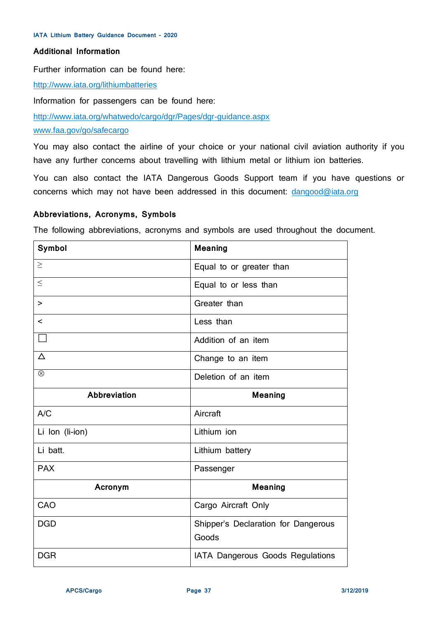# **Additional Information**

Further information can be found here:

<http://www.iata.org/lithiumbatteries>

Information for passengers can be found here:

<http://www.iata.org/whatwedo/cargo/dgr/Pages/dgr-guidance.aspx>

#### [www.faa.gov/go/safecargo](http://www.faa.gov/go/safecargo)

You may also contact the airline of your choice or your national civil aviation authority if you have any further concerns about travelling with lithium metal or lithium ion batteries.

You can also contact the IATA Dangerous Goods Support team if you have questions or concerns which may not have been addressed in this document: [dangood@iata.org](mailto:dangood@iata.org)

## **Abbreviations, Acronyms, Symbols**

The following abbreviations, acronyms and symbols are used throughout the document.

| <b>Symbol</b>            | <b>Meaning</b>                               |
|--------------------------|----------------------------------------------|
| $\geq$                   | Equal to or greater than                     |
| $\leq$                   | Equal to or less than                        |
| >                        | Greater than                                 |
| $\overline{\phantom{0}}$ | Less than                                    |
|                          | Addition of an item                          |
| $\Delta$                 | Change to an item                            |
| $\otimes$                | Deletion of an item                          |
| <b>Abbreviation</b>      | <b>Meaning</b>                               |
| A/C                      | Aircraft                                     |
| Li Ion (li-ion)          | Lithium ion                                  |
| Li batt.                 | Lithium battery                              |
| <b>PAX</b>               | Passenger                                    |
| Acronym                  | <b>Meaning</b>                               |
| CAO                      | Cargo Aircraft Only                          |
| <b>DGD</b>               | Shipper's Declaration for Dangerous<br>Goods |
|                          |                                              |
| <b>DGR</b>               | IATA Dangerous Goods Regulations             |